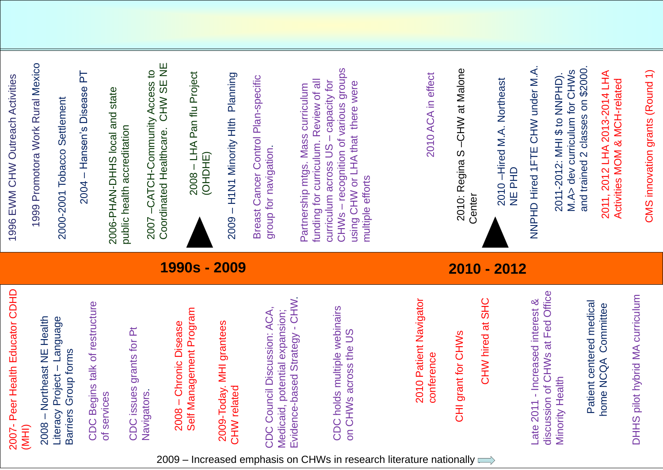### **1990s - 2009**



| $\frac{\mathsf{d}}{\mathsf{d}}$<br>2007- Peer Health Educator | 996 EWM CHW Outreach Activities<br>$\blacktriangledown$           |
|---------------------------------------------------------------|-------------------------------------------------------------------|
| (IHM)                                                         | 1999 Promotora Work Rural Mexico                                  |
| Northeast NE Health<br>2008                                   |                                                                   |
| Project - Language<br>Group forms<br>Literacy<br>Barriers     | Settlement<br>000-2001 Tobacco<br>$\mathbf{\Omega}$               |
| ture<br>CDC Begins talk of restruc                            | <b>2004 - Hansen's Disease PT</b>                                 |
| of services                                                   | etate state<br>$\bigcirc$<br>$\mathbf N$                          |
| CDC issues grants for Pt                                      | blic health accreditation<br>$\overline{\phantom{a}}$<br>$\Omega$ |

Planning – H1N1 Minority Hlth Planning Minority HIth HTNT 2009

Control Plan-specific Breast Cancer Control Plan for navigation. group for navigation Jancer Breast Oroup

2009<br>2009 -Today. MHI grantees CHW related

NACCESS TO<br>OLSE NE Coordinated Healthcare. CHW SE NE -Community Access to Community ealthcare. HOLN-D-2007

and trained 2 classes on \$2000. M.A> dev curriculum for CHWs 0002\$ DO SWHO. 2012: MH \$ to NPHD). NHS \$ to NPHD). v curriculum for classes  $\overline{\mathbf{N}}$ -2012-Deo train  $\overline{\mathbf{e}}$ 2011<br>2014 and

# NNPHD Hired 1FTE CHW under M.A. **AFTE CHW under M.A SHOHIPHEN**

# 2006<br>Self – Chronic Disease Self Management Program

CDC Council Discussion: ACA, Medicaid, potential expansion; Medicaid<br>Evidence -based Strategy  $\overline{\bullet}$ 2008 – Chronic Disease<br>
2009-Today, MHI grantees<br>
CHW related<br>
CHW related<br>
CDC Council Discussion: ACA,<br>
Medicaid, potential expansion;<br>
Medicaid, potential expansion;<br>
Evidence-based Strategy - CHW.<br>
CDC holds multiple w

Navigat

–Hired M.A. Northeast Hired M.A. Northeast NE<br>NE<br>N 2010

– recognition of various groups or curriculum. Review of all<br>m across US – capacity for<br>recognition of various groups funding for curriculum. Review of all  $\overline{\overline{6}}$ Partnership mtgs. Mass curriculum Curriculum mtgs. Mass curriculum across US across Us Partnership Tor curriculum funding

using CHW or LHA that there were were there HA that  $\sim$ efforts multiple efforts br NHON SYSTED Jsing<br>Denitie

### ACA in effect 2010 ACA in effect 2010

OHW at Malone –CHW at Malone 2010: Regina S  $\Omega$ **BUI** Regi 2010:<br>Center

### discussion of CHWs at Fed Office Increased interest & Offic  $\infty$ interest  $\overline{\mathbf{C}}$  $\overline{\mathbf{a}}$  $\overline{\textbf{O}}$  $\frac{0}{\sqrt{2}}$  $\bullet$  $\bf \Phi$ Minority Health  $\frac{1}{\alpha}$  $\overline{0}$ Late 2011 rity  $\boldsymbol{\omega}$ disc  $\overline{\mathsf{N}}$

### Patient centered medical nedical home NCQA Committee ommittee  $\overline{Q}$ O  $\bigcup$ hte Patie home

### curriculum DHHS pilot hybrid MA curriculum  $\mathbf{\Sigma}% _{T}$ hybrid pilot  $\boldsymbol{\omega}$

-2014 LHA -related Activities MOM & MCH 2011, 2012 LHA 2013 Notivities **2011** 

 $\bigcap$ CMS innovation grants (Round 1) (Round Sudio noita VOUDI **SMS** 

### **2010 - 2012**

# CDC holds multiple webinairs

on CHWs across the US

CHW hired at SHC  $\overline{\mathbf{a}}$  $\bar{\Xi}$ 

– LHA Pan flu Project LHA Pan flu Project 2008 (OHDHE)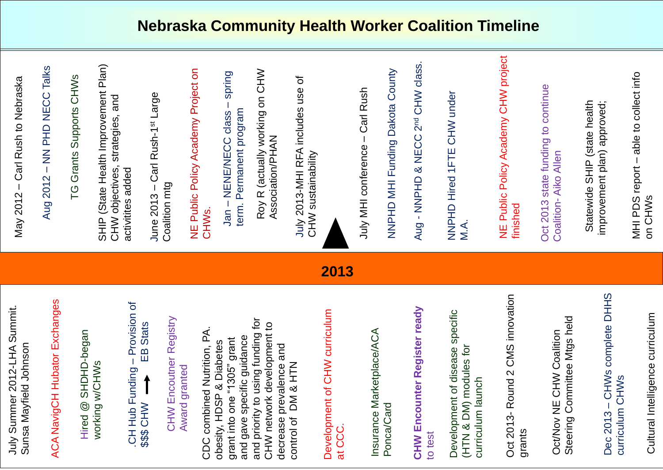### **Nebraska Community Health Worker Coalition Timeline**

Aug 2012 – NN PHD NECC Talks

TG Grants Supports CHWS TO DT

SHIP (State Health Improvement Plan) CHW objectives, strategies, and activitites added SHIP (State Hear activitites adde

June 2013  $\sum_{i=1}^{\infty}$ 1st Large Coalition mtg



CHW Encoutner Registry Registry Encoutner Award granted Award granted NHO

CDC combined Nutrition, PA.<br>obesity, HDSP & Diabetes<br>grant into one "1305" grant<br>and gave specific guidance<br>and priority to using funding for<br>CHW network development to and priority to using funding for CHW network development to CDC combined Nutrition, PA. and gave specific guidance grant into one "1305" grant obesity, HDSP & Diabetes decrease prevalence and DUB NH & HTN decrease prevalence<br>control of DM & HTN control of DM & HTM

– Provision of \$\$\$ CHW EB Stats CH Hub Funding CH Hub Funding SSS OF

Development of CHW curriculum Development of CHW curriculum at CCC.

# NE Public Policy Academy Project on NE Public Poli CHWS.

### **CHW Encounter Register ready**  ready Register Encounter to test NH2



Development of disease specific specific (HTN & DM) modules for (HTN & DM) modules for Development of disease curriculum launch durriculum launch

# Statewide SHIP (state health improvement plan) approved; Statewide<br>State improvement

Cultural Intelligence curriculum muluni Cultural Intelligence cur

# Oct 2013 state funding to continue - Aiko Allen Oct 2013 state Coalition

### -LHA Summit. **Summit** Sunsa Mayfield Johnson Sunsa Mayfield Johnson Summer 2012-LHA July Summer 2012 VIIL

Exchanges ACA NavigCH Hubator Exchanges ACA NavigCH Hubator

SHOHO-began WHWS working w/CHWs Hired @ SHOHD working  $\bigcirc$ Hired

– spring – NENE/NECC class term. Permanent program Perma term. Jan-

Roy R (actually working on CHW Association/PHAN Roy R (act Associatio

**July 2013-MHI**<br>CHW sustaina -MHI RFA includes use of CHW sustainability



# Insurance Marketplace/ACA Insurance Marketplace/ACA Ponca/Card

## – CHWs complete DHHS CHWs complete DHHS Curriculum CHWS curriculum CHWs Dec 2013

# – Carl Rush to Nebraska  $\frac{0}{\theta}$  $\ddot{C}$ May 2012

# Oct 2013 Round 2 CMS innovation



# Steering Committee Mtgs held Oct/Nov NE CHW Coalition Oct/Nov NE CHW Coalition Steering Committee

# – able to collect info MHI PDS report MHIPDS repo SMHONO on CHWs